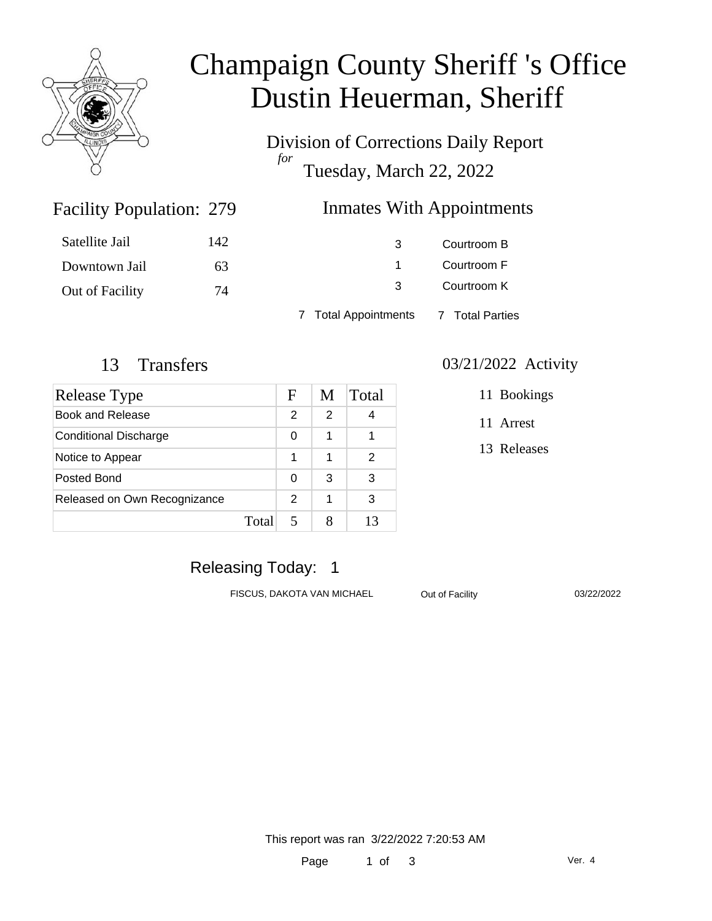

# Champaign County Sheriff 's Office Dustin Heuerman, Sheriff

Division of Corrections Daily Report *for* Tuesday, March 22, 2022

### Inmates With Appointments

| Satellite Jail  | 142 | 3                                    | Courtroom B |
|-----------------|-----|--------------------------------------|-------------|
| Downtown Jail   | 63  |                                      | Courtroom F |
| Out of Facility | 74  | $\mathcal{B}$                        | Courtroom K |
|                 |     | 7 Total Appointments 7 Total Parties |             |

Facility Population: 279

| Release Type                 |       | F | M | Total |
|------------------------------|-------|---|---|-------|
| <b>Book and Release</b>      |       | 2 | 2 | 4     |
| <b>Conditional Discharge</b> |       | 0 | 1 |       |
| Notice to Appear             |       | 1 | 1 | 2     |
| Posted Bond                  |       | 0 | 3 | 3     |
| Released on Own Recognizance |       | 2 | 1 | 3     |
|                              | Total |   | 8 | 13    |

#### 13 Transfers 03/21/2022 Activity

11 Bookings

11 Arrest

13 Releases

# Releasing Today: 1

FISCUS, DAKOTA VAN MICHAEL Out of Facility 03/22/2022

This report was ran 3/22/2022 7:20:53 AM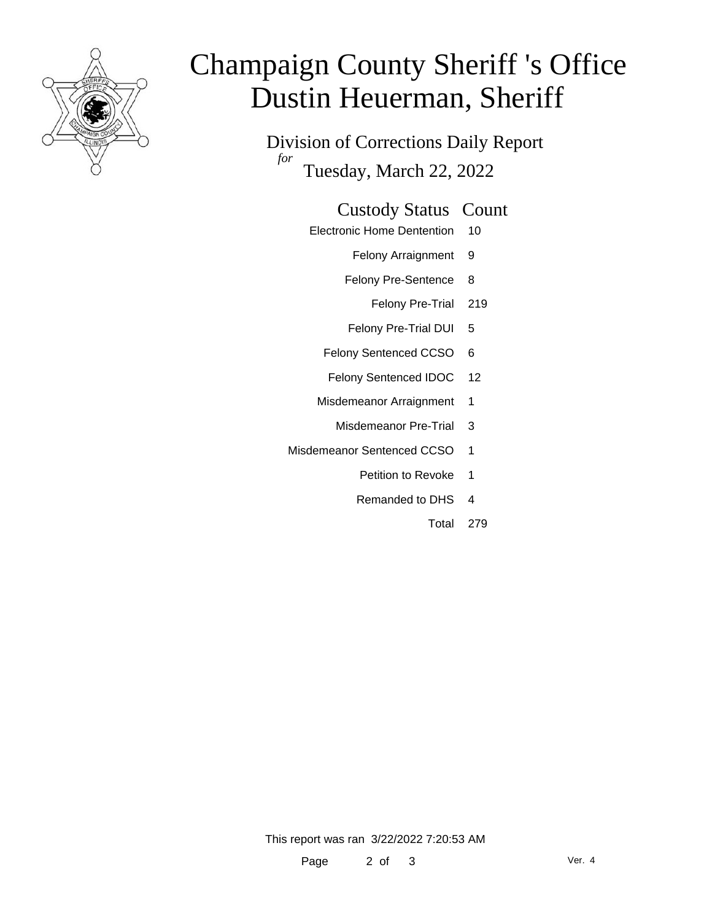

# Champaign County Sheriff 's Office Dustin Heuerman, Sheriff

Division of Corrections Daily Report *for* Tuesday, March 22, 2022

#### Custody Status Count

- Electronic Home Dentention 10
	- Felony Arraignment 9
	- Felony Pre-Sentence 8
		- Felony Pre-Trial 219
	- Felony Pre-Trial DUI 5
	- Felony Sentenced CCSO 6
	- Felony Sentenced IDOC 12
	- Misdemeanor Arraignment 1
		- Misdemeanor Pre-Trial 3
- Misdemeanor Sentenced CCSO 1
	- Petition to Revoke 1
	- Remanded to DHS 4
		- Total 279

This report was ran 3/22/2022 7:20:53 AM